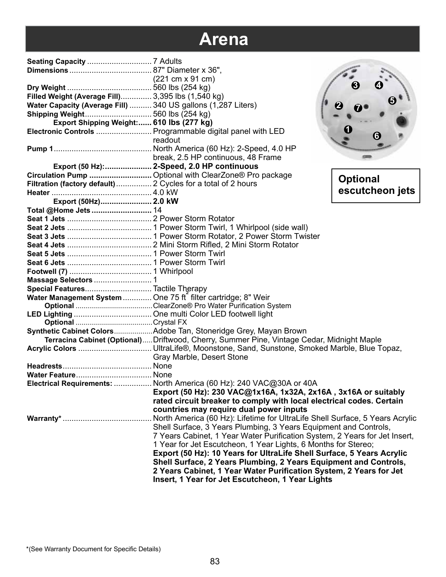|                                                               | $(221 \text{ cm} \times 91 \text{ cm})$                                                   |                 |
|---------------------------------------------------------------|-------------------------------------------------------------------------------------------|-----------------|
|                                                               |                                                                                           |                 |
| Filled Weight (Average Fill) 3,395 lbs (1,540 kg)             |                                                                                           |                 |
| Water Capacity (Average Fill)  340 US gallons (1,287 Liters)  |                                                                                           |                 |
| Shipping Weight 560 lbs (254 kg)                              |                                                                                           |                 |
| Export Shipping Weight: 610 lbs (277 kg)                      |                                                                                           |                 |
|                                                               | Electronic Controls  Programmable digital panel with LED                                  |                 |
|                                                               | readout                                                                                   |                 |
|                                                               |                                                                                           |                 |
|                                                               | break, 2.5 HP continuous, 48 Frame                                                        |                 |
|                                                               | Export (50 Hz):  2-Speed, 2.0 HP continuous                                               |                 |
|                                                               | Circulation Pump  Optional with ClearZone® Pro package                                    | <b>Optional</b> |
| Filtration (factory default)  2 Cycles for a total of 2 hours |                                                                                           |                 |
|                                                               |                                                                                           | escutcheon jets |
| Export (50Hz) 2.0 kW                                          |                                                                                           |                 |
| Total @Home Jets  14                                          |                                                                                           |                 |
|                                                               |                                                                                           |                 |
|                                                               |                                                                                           |                 |
|                                                               |                                                                                           |                 |
|                                                               |                                                                                           |                 |
|                                                               |                                                                                           |                 |
|                                                               |                                                                                           |                 |
|                                                               |                                                                                           |                 |
|                                                               |                                                                                           |                 |
| Special Features Tactile Therapy                              |                                                                                           |                 |
| Water Management System  One 75 ft filter cartridge; 8" Weir  |                                                                                           |                 |
|                                                               |                                                                                           |                 |
|                                                               |                                                                                           |                 |
|                                                               | Synthetic Cabinet ColorsAdobe Tan, Stoneridge Grey, Mayan Brown                           |                 |
|                                                               | Terracina Cabinet (Optional)Driftwood, Cherry, Summer Pine, Vintage Cedar, Midnight Maple |                 |
|                                                               |                                                                                           |                 |
|                                                               | Gray Marble, Desert Stone                                                                 |                 |
|                                                               |                                                                                           |                 |
|                                                               |                                                                                           |                 |
|                                                               | Electrical Requirements:  North America (60 Hz): 240 VAC@30A or 40A                       |                 |
|                                                               | Export (50 Hz): 230 VAC@1x16A, 1x32A, 2x16A, 3x16A or suitably                            |                 |
|                                                               | rated circuit breaker to comply with local electrical codes. Certain                      |                 |
|                                                               | countries may require dual power inputs                                                   |                 |
|                                                               | North America (60 Hz): Lifetime for UltraLife Shell Surface, 5 Years Acrylic              |                 |
|                                                               | Shell Surface, 3 Years Plumbing, 3 Years Equipment and Controls,                          |                 |
|                                                               | 7 Years Cabinet, 1 Year Water Purification System, 2 Years for Jet Insert,                |                 |
|                                                               | 1 Year for Jet Escutcheon, 1 Year Lights, 6 Months for Stereo;                            |                 |
|                                                               | Export (50 Hz): 10 Years for UltraLife Shell Surface, 5 Years Acrylic                     |                 |
|                                                               | Shell Surface, 2 Years Plumbing, 2 Years Equipment and Controls,                          |                 |
|                                                               | 2 Years Cabinet, 1 Year Water Purification System, 2 Years for Jet                        |                 |
|                                                               | Insert, 1 Year for Jet Escutcheon, 1 Year Lights                                          |                 |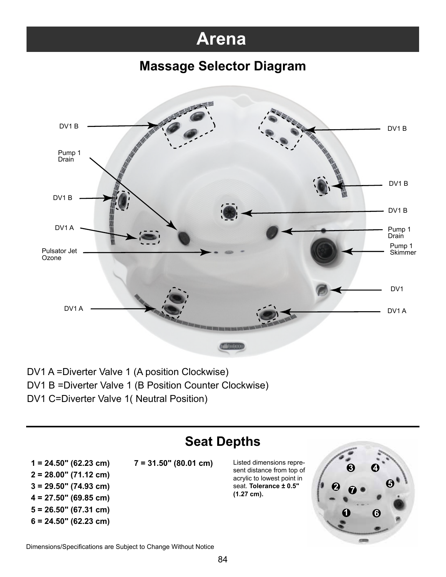#### **Massage Selector Diagram**



DV1 A =Diverter Valve 1 (A position Clockwise) DV1 B =Diverter Valve 1 (B Position Counter Clockwise) DV1 C=Diverter Valve 1( Neutral Position)

### **Seat Depths**

**2 = 28.00" (71.12 cm) 3 = 29.50" (74.93 cm)**

- **4 = 27.50" (69.85 cm)**
- **5 = 26.50" (67.31 cm)**
- **6 = 24.50" (62.23 cm)**

**1 = 24.50" (62.23 cm) 7 = 31.50" (80.01 cm)** Listed dimensions repre-

sent distance from top of acrylic to lowest point in seat. **Tolerance ± 0.5" (1.27 cm).**



Dimensions/Specifications are Subject to Change Without Notice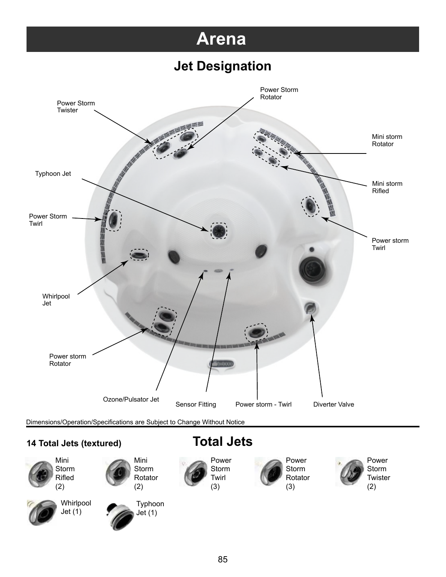### **Jet Designation**



Dimensions/Operation/Specifications are Subject to Change Without Notice

#### **14 Total Jets (textured)**



Whirlpool  $Jet(1)$ 





### **Total Jets**

Power Storm Twirl (3)

Power Storm Rotator (3)